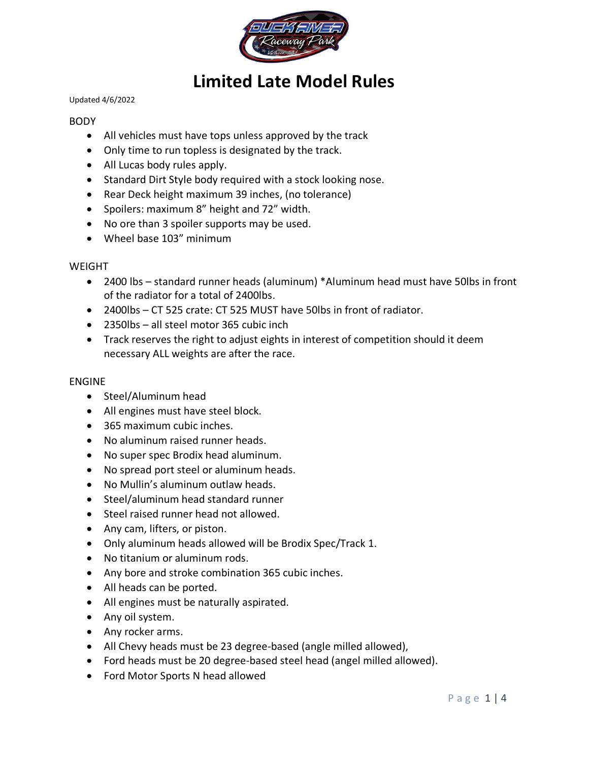

# **Limited Late Model Rules**

#### Updated 4/6/2022

### BODY

- All vehicles must have tops unless approved by the track
- Only time to run topless is designated by the track.
- All Lucas body rules apply.
- Standard Dirt Style body required with a stock looking nose.
- Rear Deck height maximum 39 inches, (no tolerance)
- Spoilers: maximum 8" height and 72" width.
- No ore than 3 spoiler supports may be used.
- Wheel base 103" minimum

#### WEIGHT

- 2400 lbs standard runner heads (aluminum) \*Aluminum head must have 50lbs in front of the radiator for a total of 2400lbs.
- 2400lbs CT 525 crate: CT 525 MUST have 50lbs in front of radiator.
- 2350lbs all steel motor 365 cubic inch
- Track reserves the right to adjust eights in interest of competition should it deem necessary ALL weights are after the race.

#### ENGINE

- Steel/Aluminum head
- All engines must have steel block.
- 365 maximum cubic inches.
- No aluminum raised runner heads.
- No super spec Brodix head aluminum.
- No spread port steel or aluminum heads.
- No Mullin's aluminum outlaw heads.
- Steel/aluminum head standard runner
- Steel raised runner head not allowed.
- Any cam, lifters, or piston.
- Only aluminum heads allowed will be Brodix Spec/Track 1.
- No titanium or aluminum rods.
- Any bore and stroke combination 365 cubic inches.
- All heads can be ported.
- All engines must be naturally aspirated.
- Any oil system.
- Any rocker arms.
- All Chevy heads must be 23 degree-based (angle milled allowed),
- Ford heads must be 20 degree-based steel head (angel milled allowed).
- Ford Motor Sports N head allowed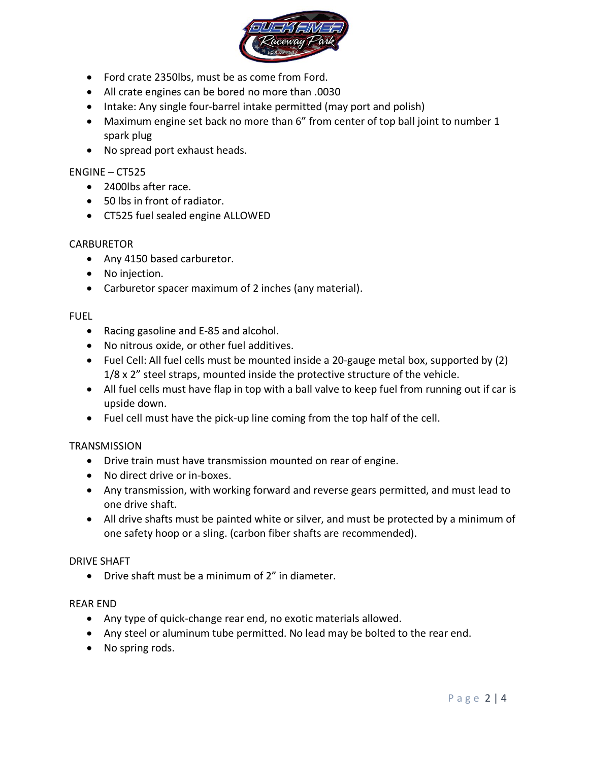

- Ford crate 2350lbs, must be as come from Ford.
- All crate engines can be bored no more than .0030
- Intake: Any single four-barrel intake permitted (may port and polish)
- Maximum engine set back no more than 6" from center of top ball joint to number 1 spark plug
- No spread port exhaust heads.

## ENGINE – CT525

- 2400lbs after race.
- 50 lbs in front of radiator.
- CT525 fuel sealed engine ALLOWED

### **CARBURETOR**

- Any 4150 based carburetor.
- No injection.
- Carburetor spacer maximum of 2 inches (any material).

### FUEL

- Racing gasoline and E-85 and alcohol.
- No nitrous oxide, or other fuel additives.
- Fuel Cell: All fuel cells must be mounted inside a 20-gauge metal box, supported by (2) 1/8 x 2" steel straps, mounted inside the protective structure of the vehicle.
- All fuel cells must have flap in top with a ball valve to keep fuel from running out if car is upside down.
- Fuel cell must have the pick-up line coming from the top half of the cell.

### **TRANSMISSION**

- Drive train must have transmission mounted on rear of engine.
- No direct drive or in-boxes.
- Any transmission, with working forward and reverse gears permitted, and must lead to one drive shaft.
- All drive shafts must be painted white or silver, and must be protected by a minimum of one safety hoop or a sling. (carbon fiber shafts are recommended).

### DRIVE SHAFT

• Drive shaft must be a minimum of 2" in diameter.

### REAR END

- Any type of quick-change rear end, no exotic materials allowed.
- Any steel or aluminum tube permitted. No lead may be bolted to the rear end.
- No spring rods.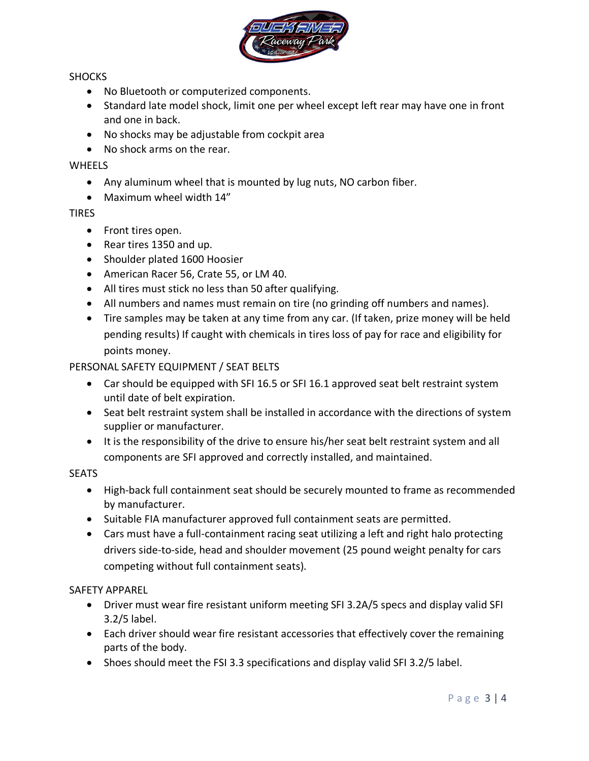

## SHOCKS

- No Bluetooth or computerized components.
- Standard late model shock, limit one per wheel except left rear may have one in front and one in back.
- No shocks may be adjustable from cockpit area
- No shock arms on the rear.

## **WHEELS**

- Any aluminum wheel that is mounted by lug nuts, NO carbon fiber.
- Maximum wheel width 14"

## TIRES

- Front tires open.
- Rear tires 1350 and up.
- Shoulder plated 1600 Hoosier
- American Racer 56, Crate 55, or LM 40.
- All tires must stick no less than 50 after qualifying.
- All numbers and names must remain on tire (no grinding off numbers and names).
- Tire samples may be taken at any time from any car. (If taken, prize money will be held pending results) If caught with chemicals in tires loss of pay for race and eligibility for points money.

# PERSONAL SAFETY EQUIPMENT / SEAT BELTS

- Car should be equipped with SFI 16.5 or SFI 16.1 approved seat belt restraint system until date of belt expiration.
- Seat belt restraint system shall be installed in accordance with the directions of system supplier or manufacturer.
- It is the responsibility of the drive to ensure his/her seat belt restraint system and all components are SFI approved and correctly installed, and maintained.

## **SEATS**

- High-back full containment seat should be securely mounted to frame as recommended by manufacturer.
- Suitable FIA manufacturer approved full containment seats are permitted.
- Cars must have a full-containment racing seat utilizing a left and right halo protecting drivers side-to-side, head and shoulder movement (25 pound weight penalty for cars competing without full containment seats).

## SAFETY APPAREL

- Driver must wear fire resistant uniform meeting SFI 3.2A/5 specs and display valid SFI 3.2/5 label.
- Each driver should wear fire resistant accessories that effectively cover the remaining parts of the body.
- Shoes should meet the FSI 3.3 specifications and display valid SFI 3.2/5 label.